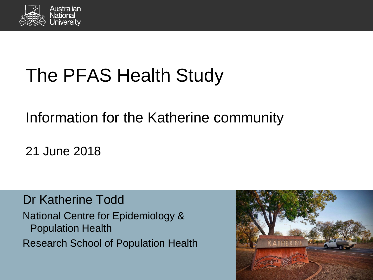

# The PFAS Health Study

#### Information for the Katherine community

21 June 2018

Dr Katherine Todd National Centre for Epidemiology & Population Health Research School of Population Health

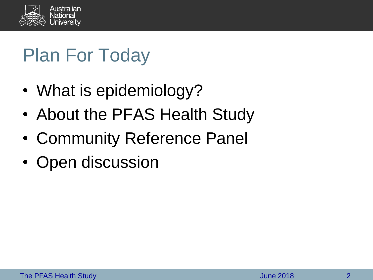

# Plan For Today

- What is epidemiology?
- About the PFAS Health Study
- Community Reference Panel
- Open discussion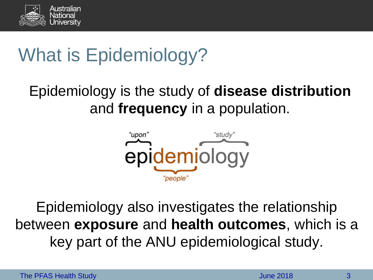

# What is Epidemiology?

#### Epidemiology is the study of **disease distribution**  and **frequency** in a population.



Epidemiology also investigates the relationship between **exposure** and **health outcomes**, which is a key part of the ANU epidemiological study.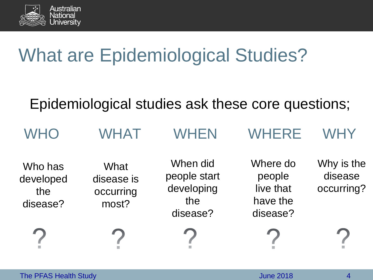

#### What are Epidemiological Studies?

#### Epidemiological studies ask these core questions;

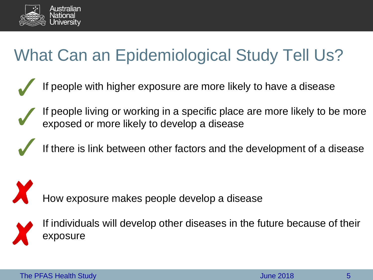

#### What Can an Epidemiological Study Tell Us?

- If people with higher exposure are more likely to have a disease
- If people living or working in a specific place are more likely to be more exposed or more likely to develop a disease
	- If there is link between other factors and the development of a disease

How exposure makes people develop a disease



If individuals will develop other diseases in the future because of their exposure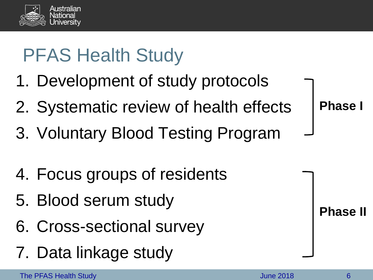

# PFAS Health Study

- 1. Development of study protocols
- 2. Systematic review of health effects
- 3. Voluntary Blood Testing Program
- 4. Focus groups of residents
- 5. Blood serum study
- 6. Cross-sectional survey
- 7. Data linkage study

**Phase I**

**Phase II**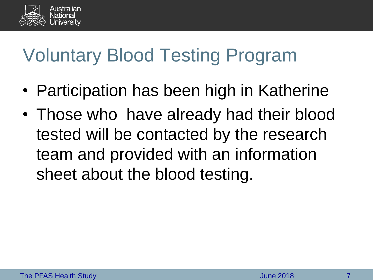

### Voluntary Blood Testing Program

- Participation has been high in Katherine
- Those who have already had their blood tested will be contacted by the research team and provided with an information sheet about the blood testing.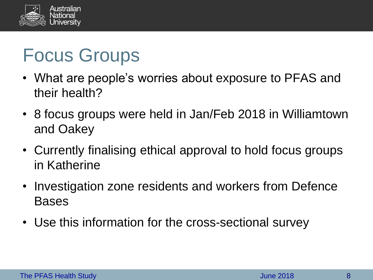

## Focus Groups

- What are people's worries about exposure to PFAS and their health?
- 8 focus groups were held in Jan/Feb 2018 in Williamtown and Oakey
- Currently finalising ethical approval to hold focus groups in Katherine
- Investigation zone residents and workers from Defence Bases
- Use this information for the cross-sectional survey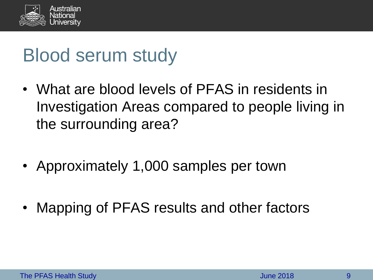

#### Blood serum study

- What are blood levels of PFAS in residents in Investigation Areas compared to people living in the surrounding area?
- Approximately 1,000 samples per town
- Mapping of PFAS results and other factors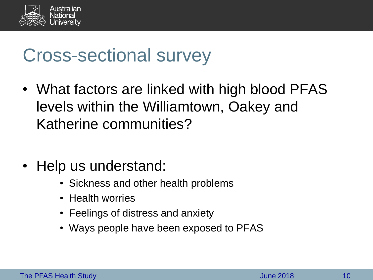

#### Cross-sectional survey

- What factors are linked with high blood PFAS levels within the Williamtown, Oakey and Katherine communities?
- Help us understand:
	- Sickness and other health problems
	- Health worries
	- Feelings of distress and anxiety
	- Ways people have been exposed to PFAS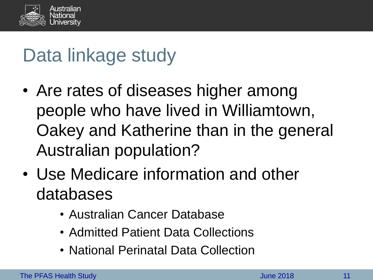

### Data linkage study

- Are rates of diseases higher among people who have lived in Williamtown, Oakey and Katherine than in the general Australian population?
- Use Medicare information and other databases
	- Australian Cancer Database
	- Admitted Patient Data Collections
	- National Perinatal Data Collection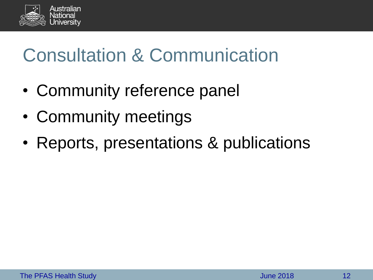

# Consultation & Communication

- Community reference panel
- Community meetings
- Reports, presentations & publications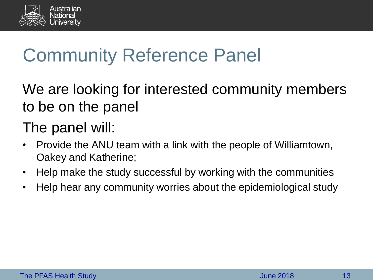

# Community Reference Panel

We are looking for interested community members to be on the panel

#### The panel will:

- Provide the ANU team with a link with the people of Williamtown, Oakey and Katherine;
- Help make the study successful by working with the communities
- Help hear any community worries about the epidemiological study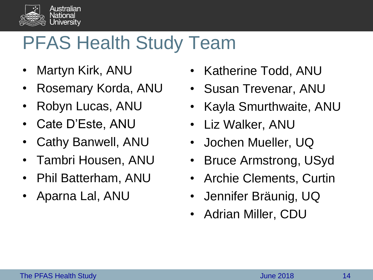

#### PFAS Health Study Team

- Martyn Kirk, ANU
- Rosemary Korda, ANU
- Robyn Lucas, ANU
- Cate D'Este, ANU
- Cathy Banwell, ANU
- Tambri Housen, ANU
- Phil Batterham, ANU
- Aparna Lal, ANU
- Katherine Todd, ANU
- Susan Trevenar, ANU
- Kayla Smurthwaite, ANU
- Liz Walker, ANU
- Jochen Mueller, UQ
- Bruce Armstrong, USyd
- Archie Clements, Curtin
- Jennifer Bräunig, UQ
- Adrian Miller, CDU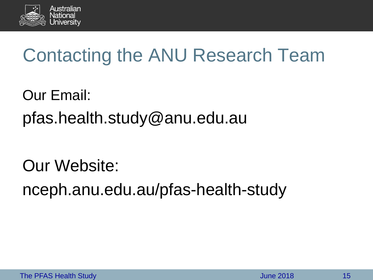

## Contacting the ANU Research Team

Our Email: pfas.health.study@anu.edu.au

Our Website: nceph.anu.edu.au/pfas-health-study